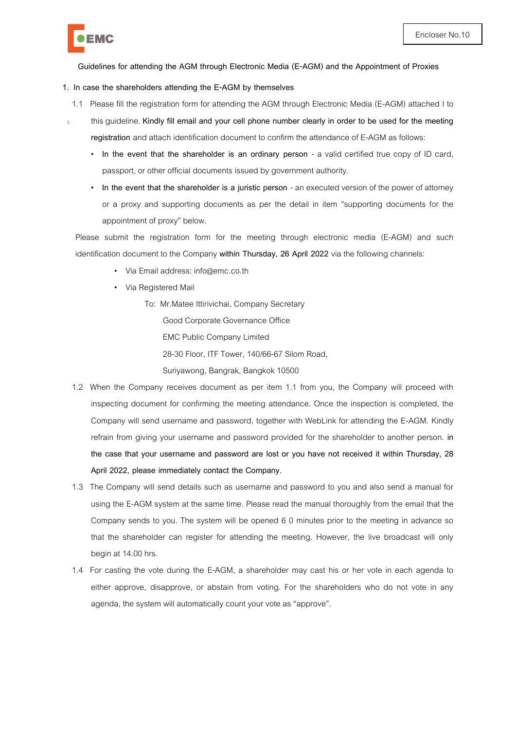

**Guidelines for attending the AGM through Electronic Media (E-AGM) and the Appointment of Proxies**

### **1. In case the shareholders attending the E-AGM by themselves**

- 1.1 Please fill the registration form for attending the AGM through Electronic Media (E-AGM) attached I to
- 1. this guideline. **Kindly fill email and your cell phone number clearly in order to be used for the meeting registration** and attach identification document to confirm the attendance of E-AGM as follows:
	- **In the event that the shareholder is an ordinary person**  a valid certified true copy of ID card, passport, or other official documents issued by government authority.
	- In the event that the shareholder is a juristic person an executed version of the power of attorney or a proxy and supporting documents as per the detail in item "supporting documents for the appointment of proxy" below.

Please submit the registration form for the meeting through electronic media (E-AGM) and such identification document to the Company **within Thursday, 26 April 2022** via the following channels:

- Via Email address[:](mailto:CompanySecretary@theerawan.com) info@emc.co.th
- Via Registered Mail

To: Mr.Matee Ittirivichai, Company Secretary Good Corporate Governance Office EMC Public Company Limited 28-30 Floor, ITF Tower, 140/66-67 Silom Road, Suriyawong, Bangrak, Bangkok 10500

- 1.2 When the Company receives document as per item 1.1 from you, the Company will proceed with inspecting document for confirming the meeting attendance. Once the inspection is completed, the Company will send username and password, together with WebLink for attending the E-AGM. Kindly refrain from giving your username and password provided for the shareholder to another person. **in the case that your username and password are lost or you have not received it within Thursday, 28 April 2022, please immediately contact the Company.**
- 1.3 The Company will send details such as username and password to you and also send a manual for using the E-AGM system at the same time. Please read the manual thoroughly from the email that the Company sends to you. The system will be opened 6 0 minutes prior to the meeting in advance so that the shareholder can register for attending the meeting. However, the live broadcast will only begin at 14.00 hrs.
- 1.4 For casting the vote during the E-AGM, a shareholder may cast his or her vote in each agenda to either approve, disapprove, or abstain from voting. For the shareholders who do not vote in any agenda, the system will automatically count your vote as "approve".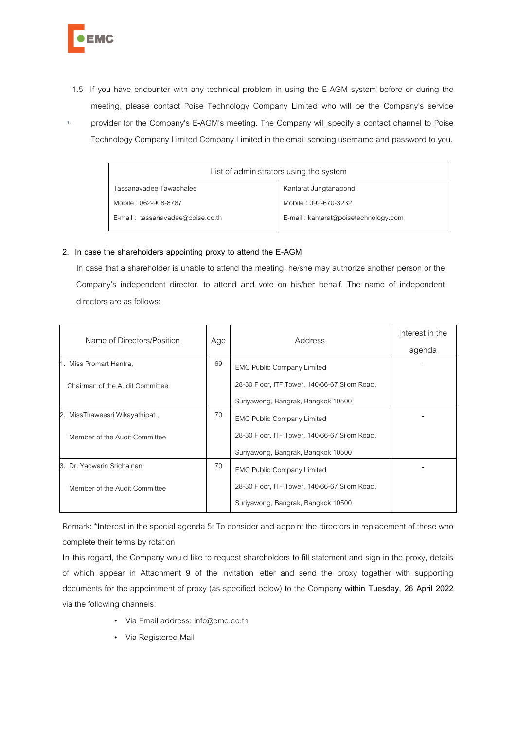

- 1.5 If you have encounter with any technical problem in using the E-AGM system before or during the meeting, please contact Poise Technology Company Limited who will be the Company's service
- 1. provider for the Company's E-AGM's meeting. The Company will specify a contact channel to Poise Technology Company Limited Company Limited in the email sending username and password to you.

| List of administrators using the system |                                      |  |  |
|-----------------------------------------|--------------------------------------|--|--|
| Tassanavadee Tawachalee                 | Kantarat Jungtanapond                |  |  |
| Mobile: 062-908-8787                    | Mobile: 092-670-3232                 |  |  |
| E-mail: tassanavadee@poise.co.th        | E-mail: kantarat@poisetechnology.com |  |  |

### **2. In case the shareholders appointing proxy to attend the E-AGM**

In case that a shareholder is unable to attend the meeting, he/she may authorize another person or the Company's independent director, to attend and vote on his/her behalf. The name of independent directors are as follows:

| Name of Directors/Position      | Age | Address                                       | Interest in the |
|---------------------------------|-----|-----------------------------------------------|-----------------|
|                                 |     |                                               | agenda          |
| 1. Miss Promart Hantra,         | 69  | <b>EMC Public Company Limited</b>             |                 |
| Chairman of the Audit Committee |     | 28-30 Floor, ITF Tower, 140/66-67 Silom Road, |                 |
|                                 |     | Suriyawong, Bangrak, Bangkok 10500            |                 |
| 2. MissThaweesri Wikayathipat,  | 70  | <b>EMC Public Company Limited</b>             |                 |
| Member of the Audit Committee   |     | 28-30 Floor, ITF Tower, 140/66-67 Silom Road, |                 |
|                                 |     | Suriyawong, Bangrak, Bangkok 10500            |                 |
| 3. Dr. Yaowarin Srichainan,     | 70  | <b>EMC Public Company Limited</b>             |                 |
| Member of the Audit Committee   |     | 28-30 Floor, ITF Tower, 140/66-67 Silom Road, |                 |
|                                 |     | Suriyawong, Bangrak, Bangkok 10500            |                 |

Remark: \*Interest in the special agenda 5: To consider and appoint the directors in replacement of those who complete their terms by rotation

In this regard, the Company would like to request shareholders to fill statement and sign in the proxy, details of which appear in Attachment 9 of the invitation letter and send the proxy together with supporting documents for the appointment of proxy (as specified below) to the Company **within Tuesday, 26 April 2022** via the following channels:

- Via Email address: info@emc.co.th
- Via Registered Mail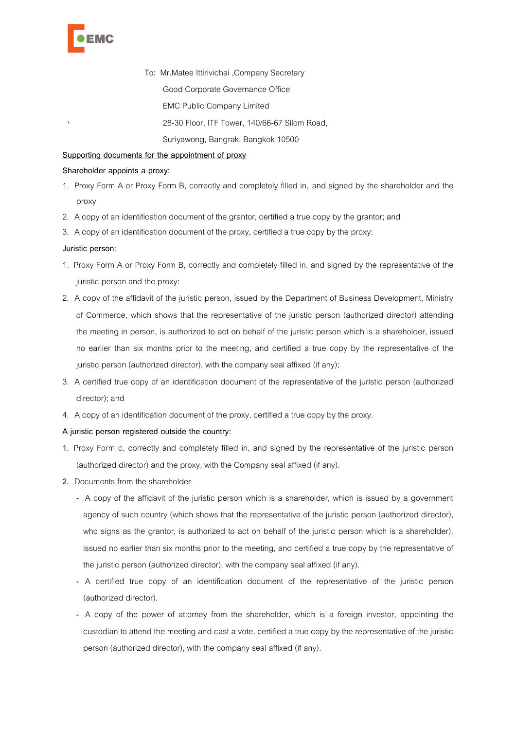

1.

To: Mr.Matee Ittirivichai ,Company Secretary Good Corporate Governance Office **EMC Public Company Limited** 28-30 Floor, ITF Tower, 140/66-67 Silom Road,

Suriyawong, Bangrak, Bangkok 10500

# **Supporting documents for the appointment of proxy**

#### **Shareholder appoints a proxy:**

- 1. Proxy Form A or Proxy Form B, correctly and completely filled in, and signed by the shareholder and the proxy
- 2. A copy of an identification document of the grantor, certified a true copy by the grantor; and
- 3. A copy of an identification document of the proxy, certified a true copy by the proxy:

# **Juristic person:**

- 1. Proxy Form A or Proxy Form B, correctly and completely filled in, and signed by the representative of the juristic person and the proxy:
- 2. A copy of the affidavit of the juristic person, issued by the Department of Business Development, Ministry of Commerce, which shows that the representative of the juristic person (authorized director) attending the meeting in person, is authorized to act on behalf of the juristic person which is a shareholder, issued no earlier than six months prior to the meeting, and certified a true copy by the representative of the juristic person (authorized director), with the company seal affixed (if any);
- 3. A certified true copy of an identification document of the representative of the juristic person (authorized director); and
- 4. A copy of an identification document of the proxy, certified a true copy by the proxy.

# **A juristic person registered outside the country:**

- 1. Proxy Form c, correctly and completely filled in, and signed by the representative of the juristic person (authorized director) and the proxy, with the Company seal affixed (if any).
- 2. Documents from the shareholder
	- A copy of the affidavit of the juristic person which is a shareholder, which is issued by a government agency of such country (which shows that the representative of the juristic person (authorized director), who signs as the grantor, is authorized to act on behalf of the juristic person which is a shareholder), issued no earlier than six months prior to the meeting, and certified a true copy by the representative of the juristic person (authorized director), with the company seal affixed (if any).
	- A certified true copy of an identification document of the representative of the juristic person (authorized director).
	- A copy of the power of attorney from the shareholder, which is a foreign investor, appointing the custodian to attend the meeting and cast a vote, certified a true copy by the representative of the juristic person (authorized director), with the company seal affixed (if any).